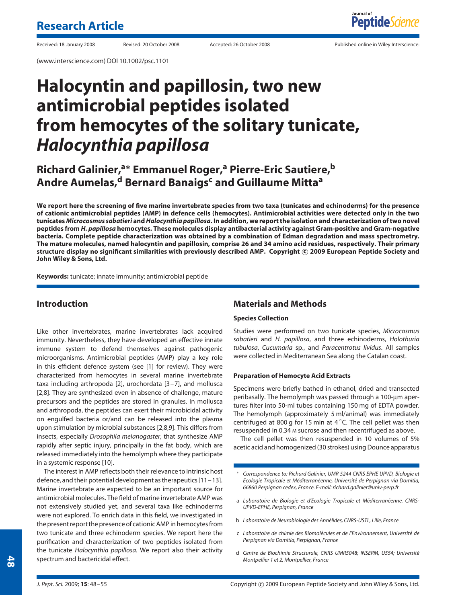(www.interscience.com) DOI 10.1002/psc.1101

Received: 18 January 2008 Revised: 20 October 2008 Accepted: 26 October 2008 Published online in Wiley Interscience:

# **Halocyntin and papillosin, two new antimicrobial peptides isolated from hemocytes of the solitary tunicate,** *Halocynthia papillosa*

# **Richard Galinier,<sup>a</sup>\* Emmanuel Roger,<sup>a</sup> Pierre-Eric Sautiere,<sup>b</sup> Andre Aumelas,<sup>d</sup> Bernard Banaigsc and Guillaume Mitta<sup>a</sup>**

**We report here the screening of five marine invertebrate species from two taxa (tunicates and echinoderms) for the presence of cationic antimicrobial peptides (AMP) in defence cells (hemocytes). Antimicrobial activities were detected only in the two tunicates** *Microcosmus sabatieri* **and***Halocynthia papillosa***. In addition, we report the isolation and characterization of two novel peptides from** *H. papillosa* **hemocytes. These molecules display antibacterial activity against Gram-positive and Gram-negative bacteria. Complete peptide characterization was obtained by a combination of Edman degradation and mass spectrometry. The mature molecules, named halocyntin and papillosin, comprise 26 and 34 amino acid residues, respectively. Their primary structure display no significant similarities with previously described AMP. Copyright c 2009 European Peptide Society and John Wiley & Sons, Ltd.**

**Keywords:** tunicate; innate immunity; antimicrobial peptide

# **Introduction**

Like other invertebrates, marine invertebrates lack acquired immunity. Nevertheless, they have developed an effective innate immune system to defend themselves against pathogenic microorganisms. Antimicrobial peptides (AMP) play a key role in this efficient defence system (see [1] for review). They were characterized from hemocytes in several marine invertebrate taxa including arthropoda [2], urochordata [3–7], and mollusca [2,8]. They are synthesized even in absence of challenge, mature precursors and the peptides are stored in granules. In mollusca and arthropoda, the peptides can exert their microbicidal activity on engulfed bacteria or/and can be released into the plasma upon stimulation by microbial substances [2,8,9]. This differs from insects, especially *Drosophila melanogaster*, that synthesize AMP rapidly after septic injury, principally in the fat body, which are released immediately into the hemolymph where they participate in a systemic response [10].

The interest in AMP reflects both their relevance to intrinsic host defence, and their potential development as therapeutics [11–13]. Marine invertebrate are expected to be an important source for antimicrobial molecules. The field of marine invertebrate AMP was not extensively studied yet, and several taxa like echinoderms were not explored. To enrich data in this field, we investigated in the present report the presence of cationic AMP in hemocytes from two tunicate and three echinoderm species. We report here the purification and characterization of two peptides isolated from the tunicate *Halocynthia papillosa*. We report also their activity spectrum and bactericidal effect.

# **Materials and Methods**

#### **Species Collection**

Studies were performed on two tunicate species, *Microcosmus sabatieri* and *H. papillosa*, and three echinoderms, *Holothuria tubulosa*, *Cucumaria* sp., and *Paracentrotus lividus*. All samples were collected in Mediterranean Sea along the Catalan coast.

#### **Preparation of Hemocyte Acid Extracts**

Specimens were briefly bathed in ethanol, dried and transected peribasally. The hemolymph was passed through a 100-µm apertures filter into 50-ml tubes containing 150 mg of EDTA powder. The hemolymph (approximately 5 ml/animal) was immediately centrifuged at 800 g for 15 min at 4  $^{\circ}$ C. The cell pellet was then resuspended in 0.34 M sucrose and then recentrifuged as above.

The cell pellet was then resuspended in 10 volumes of 5% acetic acid and homogenized (30 strokes) using Dounce apparatus

- ∗ *Correspondence to: Richard Galinier, UMR 5244 CNRS EPHE UPVD, Biologie et Ecologie Tropicale et Mediterran ´ eenne, Universit ´ e de Perpignan via Domitia, ´ 66860 Perpignan cedex, France. E-mail: richard.galinier@univ-perp.fr*
- a *Laboratoire de Biologie et d'Ecologie Tropicale et Méditerranéenne, CNRS-UPVD-EPHE, Perpignan, France*
- b *Laboratoire de Neurobiologie des Annelides, CNRS-USTL, Lille, France ´*
- c *Laboratoire de chimie des Biomolecules et de l'Environnement, Universit ´ e de ´ Perpignan via Domitia, Perpignan, France*
- d *Centre de Biochimie Structurale, CNRS UMR5048; INSERM, U554; Universite´ Montpellier 1 et 2, Montpellier, France*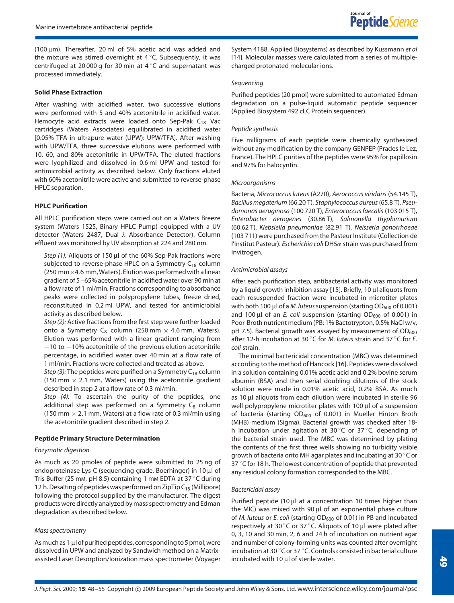(100  $\mu$ m). Thereafter, 20 ml of 5% acetic acid was added and the mixture was stirred overnight at 4  $^\circ$ C. Subsequently, it was centrifuged at 20 000 g for 30 min at 4  $^{\circ}$ C and supernatant was processed immediately.

#### **Solid Phase Extraction**

After washing with acidified water, two successive elutions were performed with 5 and 40% acetonitrile in acidified water. Hemocyte acid extracts were loaded onto Sep-Pak  $C_{18}$  Vac cartridges (Waters Associates) equilibrated in acidified water [0.05% TFA in ultrapure water (UPW): UPW/TFA]. After washing with UPW/TFA, three successive elutions were performed with 10, 60, and 80% acetonitrile in UPW/TFA. The eluted fractions were lyophilized and dissolved in 0.6 ml UPW and tested for antimicrobial activity as described below. Only fractions eluted with 60% acetonitrile were active and submitted to reverse-phase HPLC separation.

#### **HPLC Purification**

All HPLC purification steps were carried out on a Waters Breeze system (Waters 1525, Binary HPLC Pump) equipped with a UV detector (Waters 2487, Dual *λ* Absorbance Detector). Column effluent was monitored by UV absorption at 224 and 280 nm.

*Step (1):* Aliquots of 150 µl of the 60% Sep-Pak fractions were subjected to reverse-phase HPLC on a Symmetry  $C_{18}$  column  $(250$  mm $\times$ 4.6 mm, Waters). Elution was performed with a linear gradient of 5–65% acetonitrile in acidified water over 90 min at a flow rate of 1 ml/min. Fractions corresponding to absorbance peaks were collected in polypropylene tubes, freeze dried, reconstituted in 0.2 ml UPW, and tested for antimicrobial activity as described below.

*Step (2):* Active fractions from the first step were further loaded onto a Symmetry C<sub>8</sub> column (250 mm  $\times$  4.6 mm, Waters). Elution was performed with a linear gradient ranging from  $-10$  to  $+10%$  acetonitrile of the previous elution acetonitrile percentage, in acidified water over 40 min at a flow rate of 1 ml/min. Fractions were collected and treated as above.

*Step (3):* The peptides were purified on a Symmetry  $C_{18}$  column (150 mm  $\times$  2.1 mm, Waters) using the acetonitrile gradient described in step 2 at a flow rate of 0.3 ml/min.

*Step (4):* To ascertain the purity of the peptides, one additional step was performed on a Symmetry  $C_8$  column (150 mm  $\times$  2.1 mm, Waters) at a flow rate of 0.3 ml/min using the acetonitrile gradient described in step 2.

#### **Peptide Primary Structure Determination**

#### *Enzymatic digestion*

As much as 20 pmoles of peptide were submitted to 25 ng of endoproteinase Lys-C (sequencing grade, Boerhinger) in 10 µl of Tris Buffer (25 mm, pH 8.5) containing 1 mm EDTA at 37  $^\circ$ C during 12 h. Desalting of peptides was performed on ZipTip  $C_{18}$  (Millipore) following the protocol supplied by the manufacturer. The digest products were directly analyzed by mass spectrometry and Edman degradation as described below.

#### *Mass spectrometry*

Asmuch as 1 µl of purified peptides, corresponding to 5 pmol, were dissolved in UPW and analyzed by Sandwich method on a Matrixassisted Laser Desorption/Ionization mass spectrometer (Voyager System 4188, Applied Biosystems) as described by Kussmann *et al* [14]. Molecular masses were calculated from a series of multiplecharged protonated molecular ions.

#### *Sequencing*

Purified peptides (20 pmol) were submitted to automated Edman degradation on a pulse-liquid automatic peptide sequencer (Applied Biosystem 492 cLC Protein sequencer).

#### *Peptide synthesis*

Five milligrams of each peptide were chemically synthesized without any modification by the company GENPEP (Prades le Lez, France). The HPLC purities of the peptides were 95% for papillosin and 97% for halocyntin.

#### *Microorganisms*

Bacteria, *Micrococcus luteus* (A270), *Aerococcus viridans* (54.145 T), *Bacillus megaterium* (66.20 T), *Staphylococcus aureus*(65.8 T), *Pseudomonas aeruginosa* (100 720 T), *Enterococcus faecalis* (103 015 T), *Enterobacter aerogenes* (30.86 T), *Salmonella thyphimurium* (60.62 T), *Klebsiella pneumoniae* (82.91 T), *Neisseria gonorrhoeae* (103 711) were purchased from the Pasteur Institute (Collection de l'Institut Pasteur). *Escherichia coli* DH5*α* strain was purchased from Invitrogen.

#### *Antimicrobial assays*

After each purification step, antibacterial activity was monitored by a liquid growth inhibition assay [15]. Briefly, 10 µl aliquots from each resuspended fraction were incubated in microtiter plates with both 100 µl of a *M. luteus* suspension (starting OD<sub>600</sub> of 0.001) and 100  $\mu$ l of an *E. coli* suspension (starting OD<sub>600</sub> of 0.001) in Poor-Broth nutrient medium (PB: 1% Bactotrypton, 0.5% NaCl w/v, pH 7.5). Bacterial growth was assayed by measurement of  $OD_{600}$ after 12-h incubation at 30 ◦ C for *M. luteus* strain and 37 ◦ C for *E. coli* strain.

The minimal bactericidal concentration (MBC) was determined according to the method of Hancock [16]. Peptides were dissolved in a solution containing 0.01% acetic acid and 0.2% bovine serum albumin (BSA) and then serial doubling dilutions of the stock solution were made in 0.01% acetic acid, 0.2% BSA. As much as 10 µl aliquots from each dilution were incubated in sterile 96 well polypropylene microtiter plates with 100 µl of a suspension of bacteria (starting  $OD_{600}$  of 0.001) in Mueller Hinton Broth (MHB) medium (Sigma). Bacterial growth was checked after 18 h incubation under agitation at 30 $^{\circ}$ C or 37 $^{\circ}$ C, depending of the bacterial strain used. The MBC was determined by plating the contents of the first three wells showing no turbidity visible growth of bacteria onto MH agar plates and incubating at 30  $^{\circ}$ C or 37  $^\circ$ C for 18 h. The lowest concentration of peptide that prevented any residual colony formation corresponded to the MBC.

#### *Bactericidal assay*

Purified peptide (10 µl at a concentration 10 times higher than the MIC) was mixed with 90 µl of an exponential phase culture of *M. luteus* or *E. coli* (starting OD<sub>600</sub> of 0.01) in PB and incubated respectively at 30 $^{\circ}$ C or 37 $^{\circ}$ C. Aliquots of 10  $\mu$ l were plated after 0, 3, 10 and 30 min, 2, 6 and 24 h of incubation on nutrient agar and number of colony-forming units was counted after overnight incubation at 30  $^{\circ}$ C or 37  $^{\circ}$ C. Controls consisted in bacterial culture incubated with 10 µl of sterile water.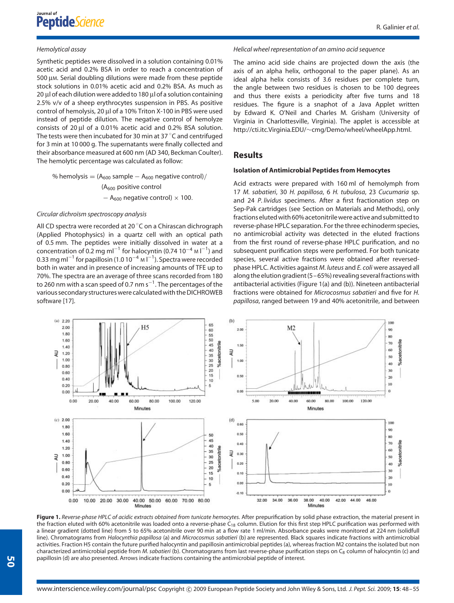#### R. Galinier *et al*.

#### *Hemolytical assay*

Synthetic peptides were dissolved in a solution containing 0.01% acetic acid and 0.2% BSA in order to reach a concentration of 500 µM. Serial doubling dilutions were made from these peptide stock solutions in 0.01% acetic acid and 0.2% BSA. As much as 20 µl of each dilution were added to 180 µl of a solution containing 2.5% v/v of a sheep erythrocytes suspension in PBS. As positive control of hemolysis, 20 µl of a 10% Triton X-100 in PBS were used instead of peptide dilution. The negative control of hemolyze consists of 20 µl of a 0.01% acetic acid and 0.2% BSA solution. The tests were then incubated for 30 min at 37  $^\circ$ C and centrifuged for 3 min at 10 000 g. The supernatants were finally collected and their absorbance measured at 600 nm (AD 340, Beckman Coulter). The hemolytic percentage was calculated as follow:

% hemolysis  $= (A_{600}$  sample  $- A_{600}$  negative control)/  $(A<sub>600</sub>$  positive control  $-$  A<sub>600</sub> negative control) × 100.

#### *Circular dichroïsm spectroscopy analysis*

All CD spectra were recorded at 20 $^{\circ}$ C on a Chirascan dichrograph (Applied Photophysics) in a quartz cell with an optical path of 0.5 mm. The peptides were initially dissolved in water at a concentration of 0.2 mg ml<sup>-1</sup> for halocyntin (0.74 10<sup>-4</sup> м l<sup>-1</sup>) and 0.33 mg ml $^{-1}$  for papillosin (1.0 10 $^{-4}$  M l $^{-1}$ ). Spectra were recorded both in water and in presence of increasing amounts of TFE up to 70%. The spectra are an average of three scans recorded from 180 to 260 nm with a scan speed of 0.7 nm s<sup> $-1$ </sup>. The percentages of the various secondary structures were calculated with theDICHROWEB software [17].

#### *Helical wheel representation of an amino acid sequence*

The amino acid side chains are projected down the axis (the axis of an alpha helix, orthogonal to the paper plane). As an ideal alpha helix consists of 3.6 residues per complete turn, the angle between two residues is chosen to be 100 degrees and thus there exists a periodicity after five turns and 18 residues. The figure is a snaphot of a Java Applet written by Edward K. O'Neil and Charles M. Grisham (University of Virginia in Charlottesville, Virginia). The applet is accessible at http://cti.itc.Virginia.EDU/∼cmg/Demo/wheel/wheelApp.html.

## **Results**

#### **Isolation of Antimicrobial Peptides from Hemocytes**

Acid extracts were prepared with 160 ml of hemolymph from 17 *M. sabatieri*, 30 *H. papillosa*, 6 *H. tubulosa*, 23 *Cucumaria* sp. and 24 *P. lividus* specimens. After a first fractionation step on Sep-Pak cartridges (see Section on Materials and Methods), only fractions eluted with 60% acetonitrile were active and submitted to reverse-phase HPLC separation. For the three echinoderm species, no antimicrobial activity was detected in the eluted fractions from the first round of reverse-phase HPLC purification, and no subsequent purification steps were performed. For both tunicate species, several active fractions were obtained after reversedphase HPLC. Activities against *M. luteus* and *E. coli* were assayed all along the elution gradient ( $5-65%$ ) revealing several fractions with antibacterial activities (Figure 1(a) and (b)). Nineteen antibacterial fractions were obtained for *Microcosmus sabatieri* and five for *H. papillosa*, ranged between 19 and 40% acetonitrile, and between



**Figure 1.** *Reverse-phase HPLC of acidic extracts obtained from tunicate hemocytes.* After prepurification by solid phase extraction, the material present in the fraction eluted with 60% acetonitrile was loaded onto a reverse-phase C<sub>18</sub> column. Elution for this first step HPLC purification was performed with a linear gradient (dotted line) from 5 to 65% acetonitrile over 90 min at a flow rate 1 ml/min. Absorbance peaks were monitored at 224 nm (solidfull line). Chromatograms from *Halocynthia papillosa* (a) and *Microcosmus sabatieri* (b) are represented. Black squares indicate fractions with antimicrobial activities. Fraction H5 contain the future purified halocyntin and papillosin antimicrobial peptides (a), whereas fraction M2 contains the isolated but non characterized antimicrobial peptide from *M. sabatieri* (b). Chromatograms from last reverse-phase purification steps on C<sub>8</sub> column of halocyntin (c) and papillosin (d) are also presented. Arrows indicate fractions containing the antimicrobial peptide of interest.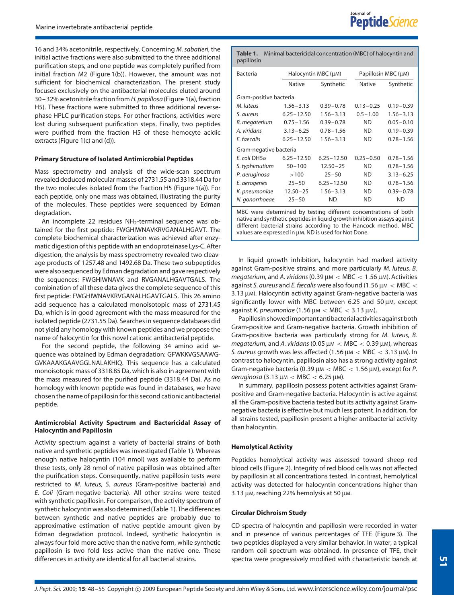16 and 34% acetonitrile, respectively. Concerning *M. sabatieri*, the initial active fractions were also submitted to the three additional purification steps, and one peptide was completely purified from initial fraction M2 (Figure 1(b)). However, the amount was not sufficient for biochemical characterization. The present study focuses exclusively on the antibacterial molecules eluted around 30–32% acetonitrile fraction from *H. papillosa* (Figure 1(a), fraction H5). These fractions were submitted to three additional reversephase HPLC purification steps. For other fractions, activities were lost during subsequent purification steps. Finally, two peptides were purified from the fraction H5 of these hemocyte acidic extracts (Figure 1(c) and (d)).

#### **Primary Structure of Isolated Antimicrobial Peptides**

Mass spectrometry and analysis of the wide-scan spectrum revealed deduced molecular masses of 2731.55 and 3318.44 Da for the two molecules isolated from the fraction H5 (Figure 1(a)). For each peptide, only one mass was obtained, illustrating the purity of the molecules. These peptides were sequenced by Edman degradation.

An incomplete 22 residues NH<sub>2</sub>-terminal sequence was obtained for the first peptide: FWGHIWNAVKRVGANALHGAVT. The complete biochemical characterization was achieved after enzymatic digestion of this peptide with an endoproteinase Lys-C. After digestion, the analysis by mass spectrometry revealed two cleavage products of 1257.48 and 1492.68 Da. These two subpeptides were also sequenced by Edman degradation and gave respectively the sequences: FWGHIWNAVK and RVGANALHGAVTGALS. The combination of all these data gives the complete sequence of this first peptide: FWGHIWNAVKRVGANALHGAVTGALS. This 26 amino acid sequence has a calculated monoisotopic mass of 2731.45 Da, which is in good agreement with the mass measured for the isolated peptide (2731.55 Da). Searches in sequence databases did not yield any homology with known peptides and we propose the name of halocyntin for this novel cationic antibacterial peptide.

For the second peptide, the following 34 amino acid sequence was obtained by Edman degradation: GFWKKVGSAAWG-GVKAAAKGAAVGGLNALAKHIQ. This sequence has a calculated monoisotopic mass of 3318.85 Da, which is also in agreement with the mass measured for the purified peptide (3318.44 Da). As no homology with known peptide was found in databases, we have chosen the name of papillosin for this second cationic antibacterial peptide.

#### **Antimicrobial Activity Spectrum and Bactericidal Assay of Halocyntin and Papillosin**

Activity spectrum against a variety of bacterial strains of both native and synthetic peptides was investigated (Table 1). Whereas enough native halocyntin (104 nmol) was available to perform these tests, only 28 nmol of native papillosin was obtained after the purification steps. Consequently, native papillosin tests were restricted to *M. luteus, S. aureus* (Gram-positive bacteria) and *E. Coli* (Gram-negative bacteria). All other strains were tested with synthetic papillosin. For comparison, the activity spectrum of synthetic halocyntinwasalso determined(Table 1).The differences between synthetic and native peptides are probably due to approximative estimation of native peptide amount given by Edman degradation protocol. Indeed, synthetic halocyntin is always four fold more active than the native form, while synthetic papillosin is two fold less active than the native one. These differences in activity are identical for all bacterial strains.

**Table 1.** Minimal bactericidal concentration (MBC) of halocyntin and papillosin

| Bacteria                                                        | Halocyntin MBC (μM) |                | Papillosin MBC (µM) |               |  |  |  |  |
|-----------------------------------------------------------------|---------------------|----------------|---------------------|---------------|--|--|--|--|
|                                                                 | <b>Native</b>       | Synthetic      | <b>Native</b>       | Synthetic     |  |  |  |  |
| Gram-positive bacteria                                          |                     |                |                     |               |  |  |  |  |
| M. luteus                                                       | $1.56 - 3.13$       | $0.39 - 0.78$  | $0.13 - 0.25$       | $0.19 - 0.39$ |  |  |  |  |
| S. aureus                                                       | $6.25 - 12.50$      | $1.56 - 3.13$  | $0.5 - 1.00$        | $1.56 - 3.13$ |  |  |  |  |
| B. megaterium                                                   | $0.75 - 1.56$       | $0.39 - 0.78$  | <b>ND</b>           | $0.05 - 0.10$ |  |  |  |  |
| A. viridans                                                     | $3.13 - 6.25$       | $0.78 - 1.56$  | <b>ND</b>           | $0.19 - 0.39$ |  |  |  |  |
| E. faecalis                                                     | $6.25 - 12.50$      | $1.56 - 3.13$  | <b>ND</b>           | $0.78 - 1.56$ |  |  |  |  |
| Gram-negative bacteria                                          |                     |                |                     |               |  |  |  |  |
| E. coli DH5 $\alpha$                                            | $6.25 - 12.50$      | $6.25 - 12.50$ | $0.25 - 0.50$       | $0.78 - 1.56$ |  |  |  |  |
| S. typhimutium                                                  | $50 - 100$          | $12.50 - 25$   | <b>ND</b>           | $0.78 - 1.56$ |  |  |  |  |
| P. aeruginosa                                                   | >100                | $25 - 50$      | <b>ND</b>           | $3.13 - 6.25$ |  |  |  |  |
| E. aerogenes                                                    | $25 - 50$           | $6.25 - 12.50$ | <b>ND</b>           | $0.78 - 1.56$ |  |  |  |  |
| K. pneumoniae                                                   | $12.50 - 25$        | $1.56 - 3.13$  | <b>ND</b>           | $0.39 - 0.78$ |  |  |  |  |
| N. gonorrhoeae                                                  | $25 - 50$           | ND             | ND                  | ND            |  |  |  |  |
| MBC were determined by testing different concentrations of both |                     |                |                     |               |  |  |  |  |

native and synthetic peptides in liquid growth inhibition assays against different bacterial strains according to the Hancock method. MBC values are expressed in µM. ND is used for Not Done.

In liquid growth inhibition, halocyntin had marked activity against Gram-positive strains, and more particularly *M. luteus, B. megaterium,* and *A. viridans*(0*.*39 µM *<* MBC *<* 1*.*56 µM). Activities against *S. aureus* and *E. fæcalis* were also found (1*.*56 µM *<* MBC *<* 3*.*13 µM). Halocyntin activity against Gram-negative bacteria was significantly lower with MBC between 6.25 and 50 µm, except against *K. pneumoniae* (1*.*56 µM *<* MBC *<* 3*.*13 µM).

Papillosin showed important antibacterial activities against both Gram-positive and Gram-negative bacteria. Growth inhibition of Gram-positive bacteria was particularly strong for *M. luteus, B. megaterium,* and *A. viridans* (0*.*05 µM *<* MBC *<* 0*.*39 µM), whereas *S. aureus* growth was less affected (1*.*56 µM *<* MBC *<* 3*.*13 µM). In contrast to halocyntin, papillosin also has a strong activity against Gram-negative bacteria (0*.*39 µM *<* MBC *<* 1*.*56 µM), except for *P. aeruginosa* (3*.*13 µM *<* MBC *<* 6*.*25 µM).

In summary, papillosin possess potent activities against Grampositive and Gram-negative bacteria. Halocyntin is active against all the Gram-positive bacteria tested but its activity against Gramnegative bacteria is effective but much less potent. In addition, for all strains tested, papillosin present a higher antibacterial activity than halocyntin.

#### **Hemolytical Activity**

Peptides hemolytical activity was assessed toward sheep red blood cells (Figure 2). Integrity of red blood cells was not affected by papillosin at all concentrations tested. In contrast, hemolytical activity was detected for halocyntin concentrations higher than 3*.*13 µM, reaching 22% hemolysis at 50 µM.

#### **Circular Dichroism Study**

CD spectra of halocyntin and papillosin were recorded in water and in presence of various percentages of TFE (Figure 3). The two peptides displayed a very similar behavior. In water, a typical random coil spectrum was obtained. In presence of TFE, their spectra were progressively modified with characteristic bands at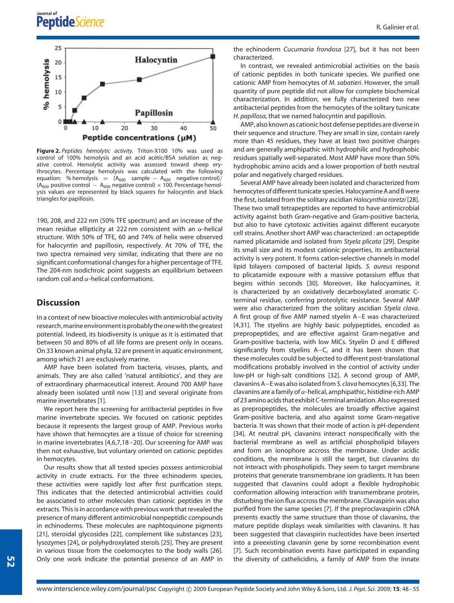



**Figure 2.** *Peptides hemolytic activity.* Triton-X100 10% was used as control of 100% hemolysis and an acid acétic/BSA solution as negative control. Hemolytic activity was assessed toward sheep erythrocytes. Percentage hemolysis was calculated with the following equation: % hemolysis =  $(A_{600} \text{ sample} - A_{600} \text{ negative control})/$ ( $A_{600}$  positive control  $A_{600}$  negative control) × 100. Percentage hemolysis values are represented by black squares for halocyntin and black triangles for papillosin.

190, 208, and 222 nm (50% TFE spectrum) and an increase of the mean residue ellipticity at 222 nm consistent with an *α*-helical structure. With 50% of TFE, 60 and 74% of helix were observed for halocyntin and papillosin, respectively. At 70% of TFE, the two spectra remained very similar, indicating that there are no significant conformational changes for a higher percentage of TFE. The 204-nm isodichroic point suggests an equilibrium between random coil and *α*-helical conformations.

# **Discussion**

In a context of new bioactive molecules with antimicrobial activity research,marine environmentisprobably the onewith the greatest potential. Indeed, its biodiversity is unique as it is estimated that between 50 and 80% of all life forms are present only in oceans. On 33 known animal phyla, 32 are present in aquatic environment, among which 21 are exclusively marine.

AMP have been isolated from bacteria, viruses, plants, and animals. They are also called 'natural antibiotics', and they are of extraordinary pharmaceutical interest. Around 700 AMP have already been isolated until now [13] and several originate from marine invertebrates [1].

We report here the screening for antibacterial peptides in five marine invertebrate species. We focused on cationic peptides because it represents the largest group of AMP. Previous works have shown that hemocytes are a tissue of choice for screening in marine invertebrates [4,6,7,18–20]. Our screening for AMP was then not exhaustive, but voluntary oriented on cationic peptides in hemocytes.

Our results show that all tested species possess antimicrobial activity in crude extracts. For the three echinoderm species, these activities were rapidly lost after first purification steps. This indicates that the detected antimicrobial activities could be associated to other molecules than cationic peptides in the extracts. This is in accordance with previous work that revealed the presence of many different antimicrobial nonpeptidic compounds in echinoderms. These molecules are naphtoquinone pigments [21], steroidal glycosides [22], complement like substances [23], lysozymes [24], or polyhydroxylated sterols [25]. They are present in various tissue from the coelomocytes to the body walls [26]. Only one work indicate the potential presence of an AMP in the echinoderm *Cucumaria frondosa* [27], but it has not been characterized.

In contrast, we revealed antimicrobial activities on the basis of cationic peptides in both tunicate species. We purified one cationic AMP from hemocytes of *M. sabatieri*. However, the small quantity of pure peptide did not allow for complete biochemical characterization. In addition, we fully characterized two new antibacterial peptides from the hemocytes of the solitary tunicate *H. papillosa*, that we named halocyntin and papillosin.

AMP, also known as cationic host defense peptides are diverse in their sequence and structure. They are small in size, contain rarely more than 45 residues, they have at least two positive charges and are generally amphipathic with hydrophilic and hydrophobic residues spatially well-separated. Most AMP have more than 50% hydrophobic amino acids and a lower proportion of both neutral polar and negatively charged residues.

Several AMP have already been isolated and characterized from hemocytes of different tunicate species. Halocyamine A and B were the first, isolated from the solitary ascidian *Halocynthia roretzi* [28]. These two small tetrapeptides are reported to have antimicrobial activity against both Gram-negative and Gram-positive bacteria, but also to have cytotoxic activities against different eucaryote cell strains. Another short AMP was characterized : an octapeptide named plicatamide and isolated from *Styela plicata* [29]. Despite its small size and its modest cationic properties, its antibacterial activity is very potent. It forms cation-selective channels in model lipid bilayers composed of bacterial lipids. *S. aureus* respond to plicatamide exposure with a massive potassium efflux that begins within seconds [30]. Moreover, like halocyamines, it is characterized by an oxidatively decarboxylated aromatic Cterminal residue, conferring proteolytic resistance. Several AMP were also characterized from the solitary ascidian *Styela clava*. A first group of five AMP named styelin A–E was characterized [4,31]. The styelins are highly basic polypeptides, encoded as prepropeptides, and are effective against Gram-negative and Gram-positive bacteria, with low MICs. Styelin D and E differed significantly from styelins A–C, and it has been shown that these molecules could be subjected to different post-translational modifications probably involved in the control of activity under low-pH or high-salt conditions [32]. A second group of AMP, clavanins A–E was also isolated from *S. clava* hemocytes [6,33]. The clavanins are a family of *α*-helical, amphipathic, histidine-rich AMP of 23 amino acids that exhibit*C*-terminal amidation. Also expressed as prepropeptides, the molecules are broadly effective against Gram-positive bacteria, and also against some Gram-negative bacteria. It was shown that their mode of action is pH-dependent [34]. At neutral pH, clavanins interact nonspecifically with the bacterial membrane as well as artificial phospholipid bilayers and form an ionophore accross the membrane. Under acidic conditions, the membrane is still the target, but clavanins do not interact with phospholipids. They seem to target membrane proteins that generate transmembrane ion gradients. It has been suggested that clavanins could adopt a flexible hydrophobic conformation allowing interaction with transmembrane protein, disturbing the ion flux accross the membrane. Clavaspirin was also purified from the same species [7]. If the preproclavaspirin cDNA presents exactly the same structure than those of clavanins, the mature peptide displays weak similarities with clavanins. It has been suggested that clavaspirin nucleotides have been inserted into a preexisting clavanin gene by some recombination event [7]. Such recombination events have participated in expanding the diversity of cathelicidins, a family of AMP from the innate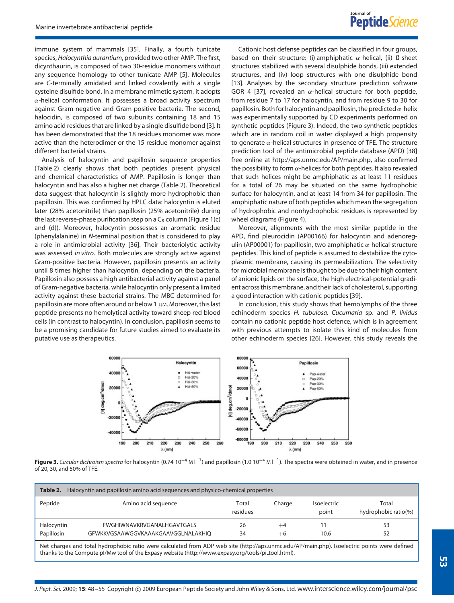immune system of mammals [35]. Finally, a fourth tunicate species, *Halocynthia aurantium*, provided two other AMP. The first, dicynthaurin, is composed of two 30-residue monomers without any sequence homology to other tunicate AMP [5]. Molecules are *C*-terminally amidated and linked covalently with a single cysteine disulfide bond. In a membrane mimetic system, it adopts *α*-helical conformation. It possesses a broad activity spectrum against Gram-negative and Gram-positive bacteria. The second, halocidin, is composed of two subunits containing 18 and 15 amino acid residues that are linked by a single disulfide bond [3]. It has been demonstrated that the 18 residues monomer was more active than the heterodimer or the 15 residue monomer against different bacterial strains.

Analysis of halocyntin and papillosin sequence properties (Table 2) clearly shows that both peptides present physical and chemical characteristics of AMP. Papillosin is longer than halocyntin and has also a higher net charge (Table 2). Theoretical data suggest that halocyntin is slightly more hydrophobic than papillosin. This was confirmed by HPLC data: halocyntin is eluted later (28% acetonitrile) than papillosin (25% acetonitrile) during the last reverse-phase purification step on a  $C_8$  column (Figure 1(c) and (d)). Moreover, halocyntin possesses an aromatic residue (phenylalanine) in *N*-terminal position that is considered to play a role in antimicrobial activity [36]. Their bacteriolytic activity was assessed *in vitro*. Both molecules are strongly active against Gram-positive bacteria. However, papillosin presents an activity until 8 times higher than halocyntin, depending on the bacteria. Papillosin also possess a high antibacterial activity against a panel of Gram-negative bacteria, while halocyntin only present a limited activity against these bacterial strains. The MBC determined for papillosin are more often around or below 1 µm. Moreover, this last peptide presents no hemolytical activity toward sheep red blood cells (in contrast to halocyntin). In conclusion, papillosin seems to be a promising candidate for future studies aimed to evaluate its putative use as therapeutics.

Cationic host defense peptides can be classified in four groups, based on their structure: (i) amphiphatic *α*-helical, (ii) ß-sheet structures stabilized with several disulphide bonds, (iii) extended structures, and (iv) loop structures with one disulphide bond [13]. Analyses by the secondary structure prediction software GOR 4 [37], revealed an *α*-helical structure for both peptide, from residue 7 to 17 for halocyntin, and from residue 9 to 30 for papillosin. Both for halocyntin and papillosin, the predicted *α*-helix was experimentally supported by CD experiments performed on synthetic peptides (Figure 3). Indeed, the two synthetic peptides which are in random coil in water displayed a high propensity to generate *α*-helical structures in presence of TFE. The structure prediction tool of the antimicrobial peptide database (APD) [38] free online at http://aps.unmc.edu/AP/main.php, also confirmed the possibility to form *α*-helices for both peptides. It also revealed that such helices might be amphiphatic as at least 11 residues for a total of 26 may be situated on the same hydrophobic surface for halocyntin, and at least 14 from 34 for papillosin. The amphiphatic nature of both peptides which mean the segregation of hydrophobic and nonhydrophobic residues is represented by wheel diagrams (Figure 4).

Moreover, alignments with the most similar peptide in the APD, find pleurocidin (AP00166) for halocyntin and adenoregulin (AP00001) for papillosin, two amphiphatic *α*-helical structure peptides. This kind of peptide is assumed to destabilize the cytoplasmic membrane, causing its permeabilization. The selectivity for microbial membrane is thought to be due to their high content of anionic lipids on the surface, the high electrical-potential gradient across this membrane, and their lack of cholesterol, supporting a good interaction with cationic peptides [39].

In conclusion, this study shows that hemolymphs of the three echinoderm species *H. tubulosa, Cucumaria* sp. and *P. lividus* contain no cationic peptide host defence, which is in agreement with previous attempts to isolate this kind of molecules from other echinoderm species [26]. However, this study reveals the



**Figure 3.** *Circular dichroism spectra* for halocyntin (0.74 10<sup>-4</sup> M l<sup>-1</sup>) and papillosin (1.0 10<sup>-4</sup> M l<sup>-1</sup>). The spectra were obtained in water, and in presence of 20, 30, and 50% of TFE.

| Table 2.<br>Halocyntin and papillosin amino acid sequences and physico-chemical properties |                                    |                   |        |                             |                               |  |
|--------------------------------------------------------------------------------------------|------------------------------------|-------------------|--------|-----------------------------|-------------------------------|--|
| Peptide                                                                                    | Amino acid sequence                | Total<br>residues | Charge | <b>Isoelectric</b><br>point | Total<br>hydrophobic ratio(%) |  |
| Halocyntin                                                                                 | FWGHIWNAVKRVGANALHGAVTGALS         | 26                | $+4$   |                             | 53                            |  |
| Papillosin                                                                                 | GFWKKVGSAAWGGVKAAAKGAAVGGLNALAKHIO | 34                | $+6$   | 10.6                        | 52                            |  |

Net charges and total hydrophobic ratio were calculated from ADP web site (http://aps.unmc.edu/AP/main.php). Isoelectric points were defined thanks to the Compute pl/Mw tool of the Expasy website (http://www.expasy.org/tools/pi\_tool.html).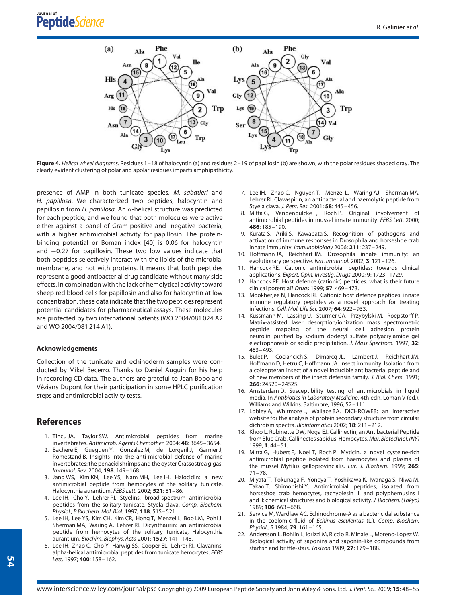

**Figure 4.** *Helical wheel diagrams.* Residues 1–18 of halocyntin (a) and residues 2–19 of papillosin (b) are shown, with the polar residues shaded gray. The clearly evident clustering of polar and apolar residues imparts amphipathicity.

presence of AMP in both tunicate species, *M. sabatieri* and *H. papillosa*. We characterized two peptides, halocyntin and papillosin from *H. papillosa*. An *α*-helical structure was predicted for each peptide, and we found that both molecules were active either against a panel of Gram-positive and -negative bacteria, with a higher antimicrobial activity for papillosin. The proteinbinding potential or Boman index [40] is 0.06 for halocyntin and −0*.*27 for papillosin. These two low values indicate that both peptides selectively interact with the lipids of the microbial membrane, and not with proteins. It means that both peptides represent a good antibacterial drug candidate without many side effects. In combination with the lack of hemolytical activity toward sheep red blood cells for papillosin and also for halocyntin at low concentration, these data indicate that the two peptides represent potential candidates for pharmaceutical assays. These molecules are protected by two international patents (WO 2004/081 024 A2 and WO 2004/081 214 A1).

#### **Acknowledgements**

Collection of the tunicate and echinoderm samples were conducted by Mikel Becerro. Thanks to Daniel Auguin for his help in recording CD data. The authors are grateful to Jean Bobo and Vézians Dupont for their participation in some HPLC purification steps and antimicrobial activity tests.

### **References**

- 1. Tincu JA, Taylor SW. Antimicrobial peptides from marine invertebrates. *Antimicrob. Agents Chemother.* 2004; **48**: 3645–3654.
- 2. Bachere E, Gueguen Y, Gonzalez M, de Lorgeril J, Garnier J, Romestand B. Insights into the anti-microbial defense of marine invertebrates: the penaeid shrimps and the oyster Crassostrea gigas. *Immunol. Rev.* 2004; **198**: 149–168.
- 3. Jang WS, Kim KN, Lee YS, Nam MH, Lee IH. Halocidin: a new antimicrobial peptide from hemocytes of the solitary tunicate, Halocynthia aurantium. *FEBS Lett.* 2002; **521**: 81–86.
- 4. Lee IH, Cho Y, Lehrer RI. Styelins, broad-spectrum antimicrobial peptides from the solitary tunicate, Styela clava. *Comp. Biochem. Physiol., B Biochem. Mol. Biol.* 1997; **118**: 515–521.
- 5. Lee IH, Lee YS, Kim CH, Kim CR, Hong T, Menzel L, Boo LM, Pohl J, Sherman MA, Waring A, Lehrer RI. Dicynthaurin: an antimicrobial peptide from hemocytes of the solitary tunicate, Halocynthia aurantium. *Biochim. Biophys. Acta* 2001; **1527**: 141–148.
- 6. Lee IH, Zhao C, Cho Y, Harwig SS, Cooper EL, Lehrer RI. Clavanins, alpha-helical antimicrobial peptides from tunicate hemocytes. *FEBS Lett.* 1997; **400**: 158–162.
- 7. Lee IH, Zhao C, Nguyen T, Menzel L, Waring AJ, Sherman MA, Lehrer RI. Clavaspirin, an antibacterial and haemolytic peptide from Styela clava. *J. Pept. Res.* 2001; **58**: 445–456.
- 8. Mitta G, Vandenbulcke F, Roch P. Original involvement of antimicrobial peptides in mussel innate immunity. *FEBS Lett.* 2000; **486**: 185–190.
- 9. Kurata S, Ariki S, Kawabata S. Recognition of pathogens and activation of immune responses in Drosophila and horseshoe crab innate immunity. *Immunobiology* 2006; **211**: 237–249.
- 10. Hoffmann JA, Reichhart JM. Drosophila innate immunity: an evolutionary perspective. *Nat. Immunol.* 2002; **3**: 121–126.
- 11. Hancock RE. Cationic antimicrobial peptides: towards clinical applications. *Expert. Opin. Investig. Drugs* 2000; **9**: 1723–1729.
- 12. Hancock RE. Host defence (cationic) peptides: what is their future clinical potential? *Drugs* 1999; **57**: 469–473.
- 13. Mookherjee N, Hancock RE. Cationic host defence peptides: innate immune regulatory peptides as a novel approach for treating infections. *Cell. Mol. Life Sci.* 2007; **64**: 922–933.
- 14. Kussmann M, Lassing U, Sturmer CA, Przybylski M, Roepstorff P. Matrix-assisted laser desorption/ionization mass spectrometric peptide mapping of the neural cell adhesion protein neurolin purified by sodium dodecyl sulfate polyacrylamide gel electrophoresis or acidic precipitation. *J. Mass Spectrom.* 1997; **32**: 483–493.<br>15. Bulet P,
- Cociancich S, Dimarcq JL, Lambert J, Reichhart JM, Hoffmann D, Hetru C, Hoffmann JA. Insect immunity. Isolation from a coleopteran insect of a novel inducible antibacterial peptide and of new members of the insect defensin family. *J. Biol. Chem.* 1991; **266**: 24520–24525.
- 16. Amsterdam D. Susceptibility testing of antimicrobials in liquid media. In *Antibiotics in Laboratory Medicine*, 4th edn, Loman V (ed.). Williams and Wilkins: Baltimore, 1996; 52–111.
- 17. Lobley A, Whitmore L, Wallace BA. DICHROWEB: an interactive website for the analysis of protein secondary structure from circular dichroism spectra. *Bioinformatics* 2002; **18**: 211–212.
- 18. Khoo L, Robinette DW, Noga EJ. Callinectin, an Antibacterial Peptide from Blue Crab, Callinectes sapidus, Hemocytes.*Mar. Biotechnol.(NY)* 1999; **1**: 44–51.
- 19. Mitta G, Hubert F, Noel T, Roch P. Myticin, a novel cysteine-rich antimicrobial peptide isolated from haemocytes and plasma of the mussel Mytilus galloprovincialis. *Eur. J. Biochem.* 1999; **265**: 71–78.
- 20. Miyata T, Tokunaga F, Yoneya T, Yoshikawa K, Iwanaga S, Niwa M, Takao T, Shimonishi Y. Antimicrobial peptides, isolated from horseshoe crab hemocytes, tachyplesin II, and polyphemusins I and II: chemical structures and biological activity.*J. Biochem. (Tokyo)* 1989; **106**: 663–668.
- 21. Service M, Wardlaw AC. Echinochrome-A as a bactericidal substance in the coelomic fluid of *Echinus esculentus* (L.). *Comp. Biochem. Physiol., B* 1984; **79**: 161–165.
- 22. Andersson L, Bohlin L, Iorizzi M, Riccio R, Minale L, Moreno-Lopez W. Biological activity of saponins and saponin-like compounds from starfish and brittle-stars. *Toxicon* 1989; **27**: 179–188.